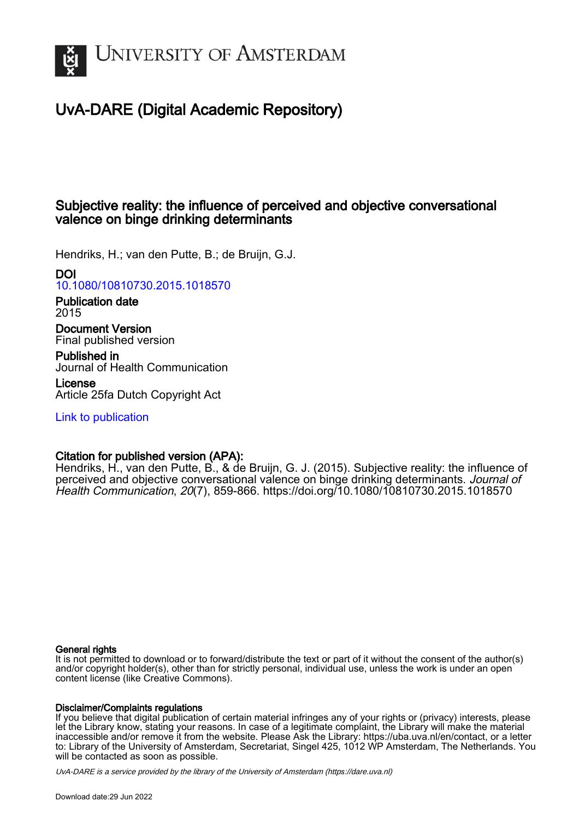

# UvA-DARE (Digital Academic Repository)

# Subjective reality: the influence of perceived and objective conversational valence on binge drinking determinants

Hendriks, H.; van den Putte, B.; de Bruijn, G.J.

# DOI

[10.1080/10810730.2015.1018570](https://doi.org/10.1080/10810730.2015.1018570)

Publication date 2015

Document Version Final published version

Published in Journal of Health Communication

License Article 25fa Dutch Copyright Act

[Link to publication](https://dare.uva.nl/personal/pure/en/publications/subjective-reality-the-influence-of-perceived-and-objective-conversational-valence-on-binge-drinking-determinants(aa7ddbc5-09b2-40c8-9cf1-92fd0d032b0a).html)

# Citation for published version (APA):

Hendriks, H., van den Putte, B., & de Bruijn, G. J. (2015). Subjective reality: the influence of perceived and objective conversational valence on binge drinking determinants. Journal of Health Communication, 20(7), 859-866.<https://doi.org/10.1080/10810730.2015.1018570>

# General rights

It is not permitted to download or to forward/distribute the text or part of it without the consent of the author(s) and/or copyright holder(s), other than for strictly personal, individual use, unless the work is under an open content license (like Creative Commons).

# Disclaimer/Complaints regulations

If you believe that digital publication of certain material infringes any of your rights or (privacy) interests, please let the Library know, stating your reasons. In case of a legitimate complaint, the Library will make the material inaccessible and/or remove it from the website. Please Ask the Library: https://uba.uva.nl/en/contact, or a letter to: Library of the University of Amsterdam, Secretariat, Singel 425, 1012 WP Amsterdam, The Netherlands. You will be contacted as soon as possible.

UvA-DARE is a service provided by the library of the University of Amsterdam (http*s*://dare.uva.nl)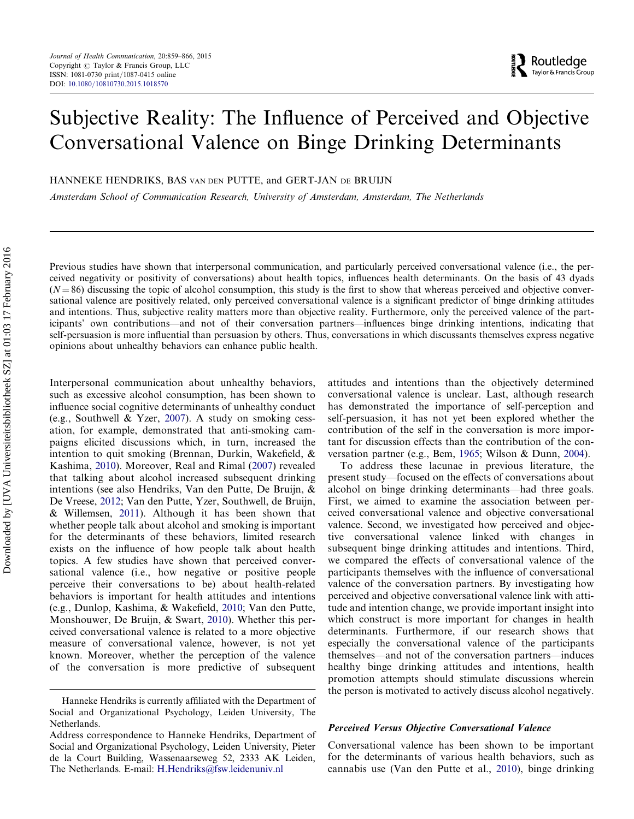# Subjective Reality: The Influence of Perceived and Objective Conversational Valence on Binge Drinking Determinants

HANNEKE HENDRIKS, BAS VAN DEN PUTTE, and GERT-JAN DE BRUIJN

Amsterdam School of Communication Research, University of Amsterdam, Amsterdam, The Netherlands

Previous studies have shown that interpersonal communication, and particularly perceived conversational valence (i.e., the perceived negativity or positivity of conversations) about health topics, influences health determinants. On the basis of 43 dyads  $(N = 86)$  discussing the topic of alcohol consumption, this study is the first to show that whereas perceived and objective conversational valence are positively related, only perceived conversational valence is a significant predictor of binge drinking attitudes and intentions. Thus, subjective reality matters more than objective reality. Furthermore, only the perceived valence of the participants' own contributions—and not of their conversation partners—influences binge drinking intentions, indicating that self-persuasion is more influential than persuasion by others. Thus, conversations in which discussants themselves express negative opinions about unhealthy behaviors can enhance public health.

Interpersonal communication about unhealthy behaviors, such as excessive alcohol consumption, has been shown to influence social cognitive determinants of unhealthy conduct (e.g., Southwell & Yzer, [2007](#page-8-0)). A study on smoking cessation, for example, demonstrated that anti-smoking campaigns elicited discussions which, in turn, increased the intention to quit smoking (Brennan, Durkin, Wakefield, & Kashima, [2010\)](#page-7-0). Moreover, Real and Rimal [\(2007](#page-8-0)) revealed that talking about alcohol increased subsequent drinking intentions (see also Hendriks, Van den Putte, De Bruijn, & De Vreese, [2012;](#page-8-0) Van den Putte, Yzer, Southwell, de Bruijn, & Willemsen, [2011\)](#page-8-0). Although it has been shown that whether people talk about alcohol and smoking is important for the determinants of these behaviors, limited research exists on the influence of how people talk about health topics. A few studies have shown that perceived conversational valence (i.e., how negative or positive people perceive their conversations to be) about health-related behaviors is important for health attitudes and intentions (e.g., Dunlop, Kashima, & Wakefield, [2010](#page-8-0); Van den Putte, Monshouwer, De Bruijn, & Swart, [2010](#page-8-0)). Whether this perceived conversational valence is related to a more objective measure of conversational valence, however, is not yet known. Moreover, whether the perception of the valence of the conversation is more predictive of subsequent

attitudes and intentions than the objectively determined conversational valence is unclear. Last, although research has demonstrated the importance of self-perception and self-persuasion, it has not yet been explored whether the contribution of the self in the conversation is more important for discussion effects than the contribution of the conversation partner (e.g., Bem, [1965](#page-7-0); Wilson & Dunn, [2004\)](#page-8-0).

To address these lacunae in previous literature, the present study—focused on the effects of conversations about alcohol on binge drinking determinants—had three goals. First, we aimed to examine the association between perceived conversational valence and objective conversational valence. Second, we investigated how perceived and objective conversational valence linked with changes in subsequent binge drinking attitudes and intentions. Third, we compared the effects of conversational valence of the participants themselves with the influence of conversational valence of the conversation partners. By investigating how perceived and objective conversational valence link with attitude and intention change, we provide important insight into which construct is more important for changes in health determinants. Furthermore, if our research shows that especially the conversational valence of the participants themselves—and not of the conversation partners—induces healthy binge drinking attitudes and intentions, health promotion attempts should stimulate discussions wherein the person is motivated to actively discuss alcohol negatively.

# Perceived Versus Objective Conversational Valence

Conversational valence has been shown to be important for the determinants of various health behaviors, such as cannabis use (Van den Putte et al., [2010](#page-8-0)), binge drinking

Hanneke Hendriks is currently affiliated with the Department of Social and Organizational Psychology, Leiden University, The Netherlands.

Address correspondence to Hanneke Hendriks, Department of Social and Organizational Psychology, Leiden University, Pieter de la Court Building, Wassenaarseweg 52, 2333 AK Leiden, The Netherlands. E-mail: [H.Hendriks@fsw.leidenuniv.nl](mailto:H.Hendriks@fsw.leidenuniv.nl)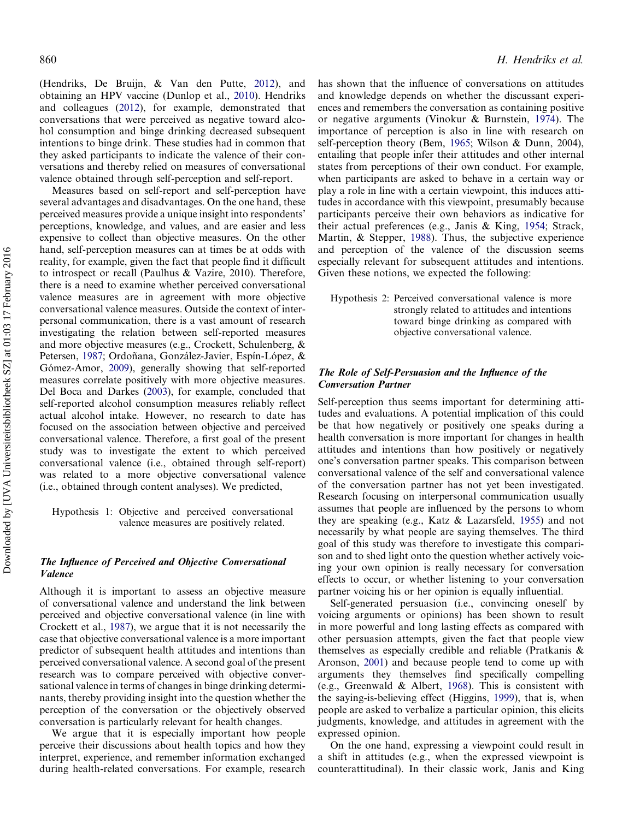(Hendriks, De Bruijn, & Van den Putte, [2012](#page-8-0)), and obtaining an HPV vaccine (Dunlop et al., [2010\)](#page-8-0). Hendriks and colleagues ([2012\)](#page-8-0), for example, demonstrated that conversations that were perceived as negative toward alcohol consumption and binge drinking decreased subsequent intentions to binge drink. These studies had in common that they asked participants to indicate the valence of their conversations and thereby relied on measures of conversational valence obtained through self-perception and self-report.

Measures based on self-report and self-perception have several advantages and disadvantages. On the one hand, these perceived measures provide a unique insight into respondents' perceptions, knowledge, and values, and are easier and less expensive to collect than objective measures. On the other hand, self-perception measures can at times be at odds with reality, for example, given the fact that people find it difficult to introspect or recall (Paulhus & Vazire, 2010). Therefore, there is a need to examine whether perceived conversational valence measures are in agreement with more objective conversational valence measures. Outside the context of interpersonal communication, there is a vast amount of research investigating the relation between self-reported measures and more objective measures (e.g., Crockett, Schulenberg, & Petersen, [1987](#page-7-0); Ordoñana, González-Javier, Espín-López, & Gómez-Amor, [2009\)](#page-8-0), generally showing that self-reported measures correlate positively with more objective measures. Del Boca and Darkes ([2003\)](#page-7-0), for example, concluded that self-reported alcohol consumption measures reliably reflect actual alcohol intake. However, no research to date has focused on the association between objective and perceived conversational valence. Therefore, a first goal of the present study was to investigate the extent to which perceived conversational valence (i.e., obtained through self-report) was related to a more objective conversational valence (i.e., obtained through content analyses). We predicted,

Hypothesis 1: Objective and perceived conversational valence measures are positively related.

# The Influence of Perceived and Objective Conversational Valence

Although it is important to assess an objective measure of conversational valence and understand the link between perceived and objective conversational valence (in line with Crockett et al., [1987\)](#page-7-0), we argue that it is not necessarily the case that objective conversational valence is a more important predictor of subsequent health attitudes and intentions than perceived conversational valence. A second goal of the present research was to compare perceived with objective conversational valence in terms of changes in binge drinking determinants, thereby providing insight into the question whether the perception of the conversation or the objectively observed conversation is particularly relevant for health changes.

We argue that it is especially important how people perceive their discussions about health topics and how they interpret, experience, and remember information exchanged during health-related conversations. For example, research has shown that the influence of conversations on attitudes and knowledge depends on whether the discussant experiences and remembers the conversation as containing positive or negative arguments (Vinokur & Burnstein, [1974\)](#page-8-0). The importance of perception is also in line with research on self-perception theory (Bem, [1965](#page-7-0); Wilson & Dunn, 2004), entailing that people infer their attitudes and other internal states from perceptions of their own conduct. For example, when participants are asked to behave in a certain way or play a role in line with a certain viewpoint, this induces attitudes in accordance with this viewpoint, presumably because participants perceive their own behaviors as indicative for their actual preferences (e.g., Janis & King, [1954;](#page-8-0) Strack, Martin, & Stepper, [1988\)](#page-8-0). Thus, the subjective experience and perception of the valence of the discussion seems especially relevant for subsequent attitudes and intentions. Given these notions, we expected the following:

Hypothesis 2: Perceived conversational valence is more strongly related to attitudes and intentions toward binge drinking as compared with objective conversational valence.

# The Role of Self-Persuasion and the Influence of the Conversation Partner

Self-perception thus seems important for determining attitudes and evaluations. A potential implication of this could be that how negatively or positively one speaks during a health conversation is more important for changes in health attitudes and intentions than how positively or negatively one's conversation partner speaks. This comparison between conversational valence of the self and conversational valence of the conversation partner has not yet been investigated. Research focusing on interpersonal communication usually assumes that people are influenced by the persons to whom they are speaking (e.g., Katz & Lazarsfeld, [1955\)](#page-8-0) and not necessarily by what people are saying themselves. The third goal of this study was therefore to investigate this comparison and to shed light onto the question whether actively voicing your own opinion is really necessary for conversation effects to occur, or whether listening to your conversation partner voicing his or her opinion is equally influential.

Self-generated persuasion (i.e., convincing oneself by voicing arguments or opinions) has been shown to result in more powerful and long lasting effects as compared with other persuasion attempts, given the fact that people view themselves as especially credible and reliable (Pratkanis & Aronson, [2001](#page-8-0)) and because people tend to come up with arguments they themselves find specifically compelling (e.g., Greenwald & Albert, [1968](#page-8-0)). This is consistent with the saying-is-believing effect (Higgins, [1999\)](#page-8-0), that is, when people are asked to verbalize a particular opinion, this elicits judgments, knowledge, and attitudes in agreement with the expressed opinion.

On the one hand, expressing a viewpoint could result in a shift in attitudes (e.g., when the expressed viewpoint is counterattitudinal). In their classic work, Janis and King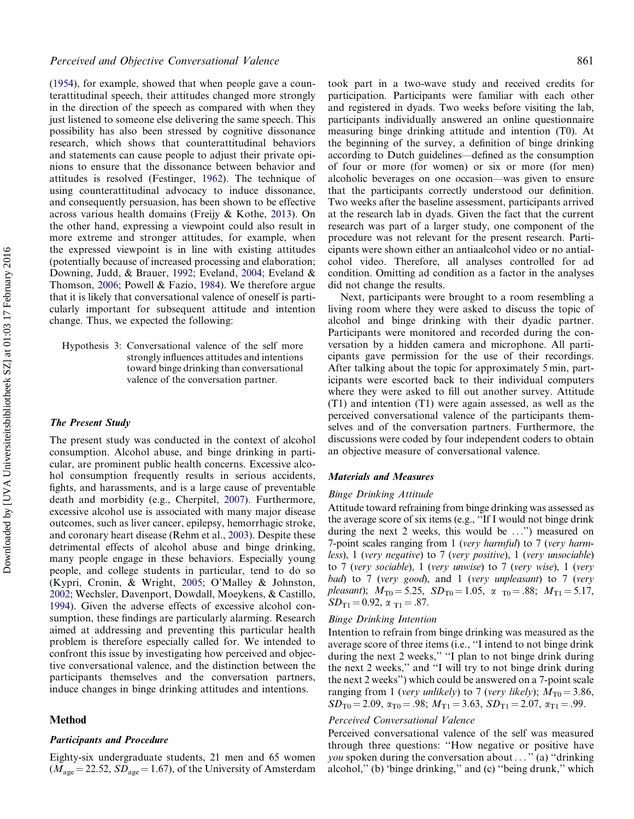[\(1954](#page-8-0)), for example, showed that when people gave a counterattitudinal speech, their attitudes changed more strongly in the direction of the speech as compared with when they just listened to someone else delivering the same speech. This possibility has also been stressed by cognitive dissonance research, which shows that counterattitudinal behaviors and statements can cause people to adjust their private opinions to ensure that the dissonance between behavior and attitudes is resolved (Festinger, [1962](#page-8-0)). The technique of using counterattitudinal advocacy to induce dissonance, and consequently persuasion, has been shown to be effective across various health domains (Freijy & Kothe, [2013\)](#page-8-0). On the other hand, expressing a viewpoint could also result in more extreme and stronger attitudes, for example, when the expressed viewpoint is in line with existing attitudes (potentially because of increased processing and elaboration; Downing, Judd, & Brauer, [1992](#page-8-0); Eveland, [2004](#page-8-0); Eveland & Thomson, [2006](#page-8-0); Powell & Fazio, [1984\)](#page-8-0). We therefore argue that it is likely that conversational valence of oneself is particularly important for subsequent attitude and intention change. Thus, we expected the following:

Hypothesis 3: Conversational valence of the self more strongly influences attitudes and intentions toward binge drinking than conversational valence of the conversation partner.

#### The Present Study

The present study was conducted in the context of alcohol consumption. Alcohol abuse, and binge drinking in particular, are prominent public health concerns. Excessive alcohol consumption frequently results in serious accidents, fights, and harassments, and is a large cause of preventable death and morbidity (e.g., Cherpitel, [2007](#page-7-0)). Furthermore, excessive alcohol use is associated with many major disease outcomes, such as liver cancer, epilepsy, hemorrhagic stroke, and coronary heart disease (Rehm et al., [2003](#page-8-0)). Despite these detrimental effects of alcohol abuse and binge drinking, many people engage in these behaviors. Especially young people, and college students in particular, tend to do so (Kypri, Cronin, & Wright, [2005;](#page-8-0) O'Malley & Johnston, [2002;](#page-8-0) Wechsler, Davenport, Dowdall, Moeykens, & Castillo, [1994\)](#page-8-0). Given the adverse effects of excessive alcohol consumption, these findings are particularly alarming. Research aimed at addressing and preventing this particular health problem is therefore especially called for. We intended to confront this issue by investigating how perceived and objective conversational valence, and the distinction between the participants themselves and the conversation partners, induce changes in binge drinking attitudes and intentions.

#### Method

# Participants and Procedure

Eighty-six undergraduate students, 21 men and 65 women  $(M<sub>age</sub> = 22.52, SD<sub>age</sub> = 1.67)$ , of the University of Amsterdam

took part in a two-wave study and received credits for participation. Participants were familiar with each other and registered in dyads. Two weeks before visiting the lab, participants individually answered an online questionnaire measuring binge drinking attitude and intention (T0). At the beginning of the survey, a definition of binge drinking according to Dutch guidelines—defined as the consumption of four or more (for women) or six or more (for men) alcoholic beverages on one occasion—was given to ensure that the participants correctly understood our definition. Two weeks after the baseline assessment, participants arrived at the research lab in dyads. Given the fact that the current research was part of a larger study, one component of the procedure was not relevant for the present research. Participants were shown either an antiaalcohol video or no antialcohol video. Therefore, all analyses controlled for ad condition. Omitting ad condition as a factor in the analyses did not change the results.

Next, participants were brought to a room resembling a living room where they were asked to discuss the topic of alcohol and binge drinking with their dyadic partner. Participants were monitored and recorded during the conversation by a hidden camera and microphone. All participants gave permission for the use of their recordings. After talking about the topic for approximately 5 min, participants were escorted back to their individual computers where they were asked to fill out another survey. Attitude (T1) and intention (T1) were again assessed, as well as the perceived conversational valence of the participants themselves and of the conversation partners. Furthermore, the discussions were coded by four independent coders to obtain an objective measure of conversational valence.

#### Materials and Measures

#### Binge Drinking Attitude

Attitude toward refraining from binge drinking was assessed as the average score of six items (e.g., ''If I would not binge drink during the next 2 weeks, this would be ...'') measured on 7-point scales ranging from 1 (very harmful) to 7 (very harmless), 1 (very negative) to 7 (very positive), 1 (very unsociable) to 7 (very sociable), 1 (very unwise) to 7 (very wise), 1 (very bad) to 7 (very good), and 1 (very unpleasant) to 7 (very pleasant);  $M_{\text{T0}} = 5.25$ ,  $SD_{\text{T0}} = 1.05$ ,  $\alpha_{\text{T0}} = .88$ ;  $M_{\text{T1}} = 5.17$ ,  $SD_{T1} = 0.92$ ,  $\alpha_{T1} = .87$ .

#### Binge Drinking Intention

Intention to refrain from binge drinking was measured as the average score of three items (i.e., ''I intend to not binge drink during the next 2 weeks," "I plan to not binge drink during the next 2 weeks,'' and ''I will try to not binge drink during the next 2 weeks'') which could be answered on a 7-point scale ranging from 1 (very unlikely) to 7 (very likely);  $M_{\text{T0}} = 3.86$ ,  $SD_{T0} = 2.09$ ,  $\alpha_{T0} = .98$ ;  $M_{T1} = 3.63$ ,  $SD_{T1} = 2.07$ ,  $\alpha_{T1} = .99$ .

#### Perceived Conversational Valence

Perceived conversational valence of the self was measured through three questions: ''How negative or positive have you spoken during the conversation about ... '' (a) ''drinking alcohol,'' (b) 'binge drinking,'' and (c) ''being drunk,'' which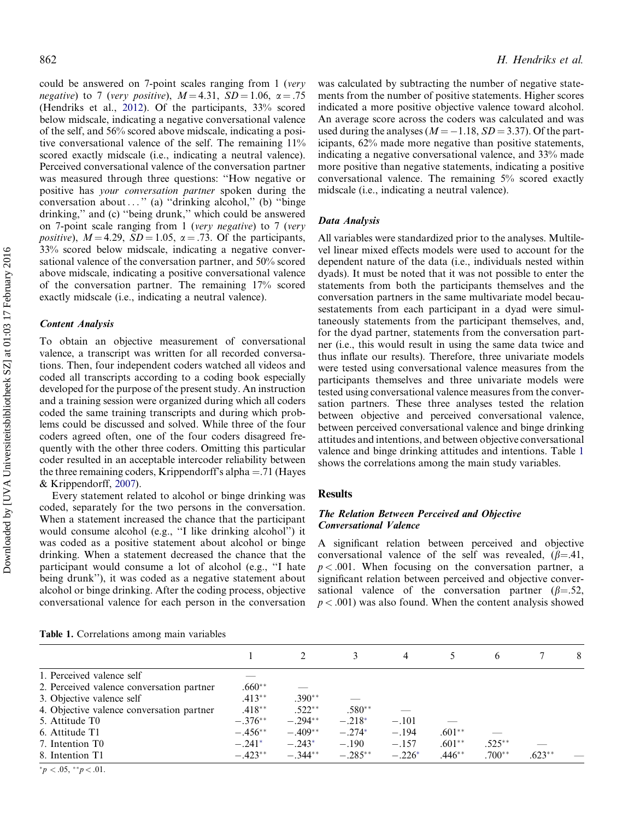could be answered on 7-point scales ranging from 1 (very negative) to 7 (very positive),  $M = 4.31$ ,  $SD = 1.06$ ,  $\alpha = .75$ (Hendriks et al., [2012](#page-8-0)). Of the participants, 33% scored below midscale, indicating a negative conversational valence of the self, and 56% scored above midscale, indicating a positive conversational valence of the self. The remaining 11% scored exactly midscale (i.e., indicating a neutral valence). Perceived conversational valence of the conversation partner was measured through three questions: ''How negative or positive has your conversation partner spoken during the conversation about ... '' (a) ''drinking alcohol,'' (b) ''binge drinking,'' and (c) ''being drunk,'' which could be answered on 7-point scale ranging from 1 (very negative) to 7 (very positive),  $M = 4.29$ ,  $SD = 1.05$ ,  $\alpha = .73$ . Of the participants, 33% scored below midscale, indicating a negative conversational valence of the conversation partner, and 50% scored above midscale, indicating a positive conversational valence of the conversation partner. The remaining 17% scored exactly midscale (i.e., indicating a neutral valence).

## Content Analysis

To obtain an objective measurement of conversational valence, a transcript was written for all recorded conversations. Then, four independent coders watched all videos and coded all transcripts according to a coding book especially developed for the purpose of the present study. An instruction and a training session were organized during which all coders coded the same training transcripts and during which problems could be discussed and solved. While three of the four coders agreed often, one of the four coders disagreed frequently with the other three coders. Omitting this particular coder resulted in an acceptable intercoder reliability between the three remaining coders, Krippendorff's alpha  $=$ .71 (Hayes & Krippendorff, [2007\)](#page-8-0).

Every statement related to alcohol or binge drinking was coded, separately for the two persons in the conversation. When a statement increased the chance that the participant would consume alcohol (e.g., ''I like drinking alcohol'') it was coded as a positive statement about alcohol or binge drinking. When a statement decreased the chance that the participant would consume a lot of alcohol (e.g., ''I hate being drunk''), it was coded as a negative statement about alcohol or binge drinking. After the coding process, objective conversational valence for each person in the conversation was calculated by subtracting the number of negative statements from the number of positive statements. Higher scores indicated a more positive objective valence toward alcohol. An average score across the coders was calculated and was used during the analyses ( $M = -1.18$ ,  $SD = 3.37$ ). Of the participants, 62% made more negative than positive statements, indicating a negative conversational valence, and 33% made more positive than negative statements, indicating a positive conversational valence. The remaining 5% scored exactly midscale (i.e., indicating a neutral valence).

#### Data Analysis

All variables were standardized prior to the analyses. Multilevel linear mixed effects models were used to account for the dependent nature of the data (i.e., individuals nested within dyads). It must be noted that it was not possible to enter the statements from both the participants themselves and the conversation partners in the same multivariate model becausestatements from each participant in a dyad were simultaneously statements from the participant themselves, and, for the dyad partner, statements from the conversation partner (i.e., this would result in using the same data twice and thus inflate our results). Therefore, three univariate models were tested using conversational valence measures from the participants themselves and three univariate models were tested using conversational valence measures from the conversation partners. These three analyses tested the relation between objective and perceived conversational valence, between perceived conversational valence and binge drinking attitudes and intentions, and between objective conversational valence and binge drinking attitudes and intentions. Table 1 shows the correlations among the main study variables.

# **Results**

### The Relation Between Perceived and Objective Conversational Valence

A significant relation between perceived and objective conversational valence of the self was revealed,  $(\beta = .41, ...)$  $p < .001$ . When focusing on the conversation partner, a significant relation between perceived and objective conversational valence of the conversation partner ( $\beta = .52$ ,  $p < .001$ ) was also found. When the content analysis showed

Table 1. Correlations among main variables

|                                           |           |           |           | 4        |          | <sub>6</sub> |          | 8 |
|-------------------------------------------|-----------|-----------|-----------|----------|----------|--------------|----------|---|
| 1. Perceived valence self                 |           |           |           |          |          |              |          |   |
| 2. Perceived valence conversation partner | $.660**$  |           |           |          |          |              |          |   |
| 3. Objective valence self                 | $.413**$  | $.390**$  |           |          |          |              |          |   |
| 4. Objective valence conversation partner | $.418**$  | $.522**$  | $.580**$  |          |          |              |          |   |
| 5. Attitude T0                            | $-.376**$ | $-.294**$ | $-.218*$  | $-.101$  |          |              |          |   |
| 6. Attitude T1                            | $-.456**$ | $-.409**$ | $-.274*$  | $-.194$  | $.601**$ |              |          |   |
| 7. Intention T0                           | $-.241*$  | $-.243*$  | $-.190$   | $-.157$  | $.601**$ | $.525***$    |          |   |
| 8. Intention T1                           | $-.423**$ | $-.344**$ | $-.285**$ | $-.226*$ | $.446**$ | $.700**$     | $.623**$ |   |

 $p < .05, \, \frac{p}{p} < .01.$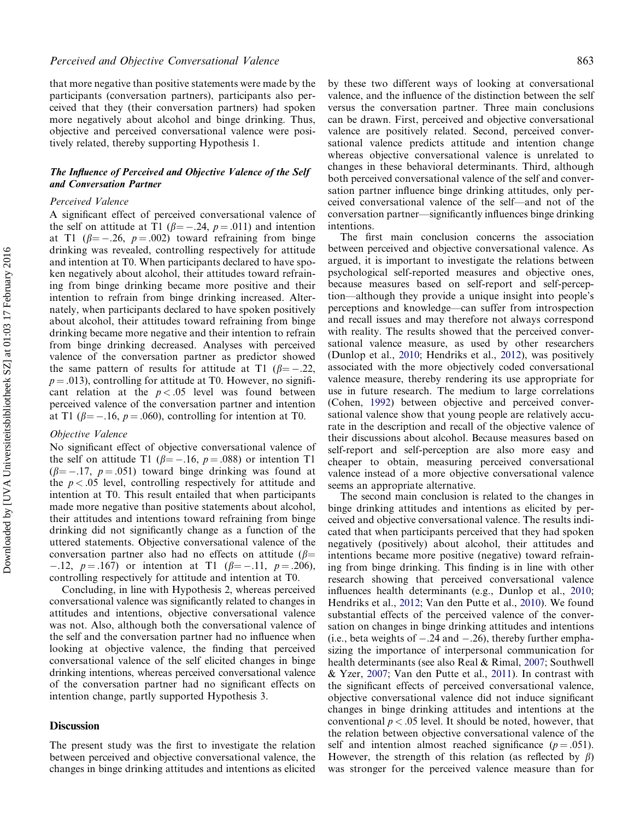that more negative than positive statements were made by the participants (conversation partners), participants also perceived that they (their conversation partners) had spoken more negatively about alcohol and binge drinking. Thus, objective and perceived conversational valence were positively related, thereby supporting Hypothesis 1.

#### The Influence of Perceived and Objective Valence of the Self and Conversation Partner

## Perceived Valence

A significant effect of perceived conversational valence of the self on attitude at T1 ( $\beta = -.24$ ,  $p = .011$ ) and intention at T1 ( $\beta$ = -.26,  $p$  = .002) toward refraining from binge drinking was revealed, controlling respectively for attitude and intention at T0. When participants declared to have spoken negatively about alcohol, their attitudes toward refraining from binge drinking became more positive and their intention to refrain from binge drinking increased. Alternately, when participants declared to have spoken positively about alcohol, their attitudes toward refraining from binge drinking became more negative and their intention to refrain from binge drinking decreased. Analyses with perceived valence of the conversation partner as predictor showed the same pattern of results for attitude at T1 ( $\beta = -.22$ ,  $p = .013$ , controlling for attitude at T0. However, no significant relation at the  $p < .05$  level was found between perceived valence of the conversation partner and intention at T1 ( $\beta$ = -.16,  $p$  = .060), controlling for intention at T0.

#### Objective Valence

No significant effect of objective conversational valence of the self on attitude T1 ( $\beta$ = -.16,  $p$  = .088) or intention T1  $(\beta = -17, p = .051)$  toward binge drinking was found at the  $p < .05$  level, controlling respectively for attitude and intention at T0. This result entailed that when participants made more negative than positive statements about alcohol, their attitudes and intentions toward refraining from binge drinking did not significantly change as a function of the uttered statements. Objective conversational valence of the conversation partner also had no effects on attitude ( $\beta$ =  $-.12, p = .167$  or intention at T1 ( $\beta = -.11, p = .206$ ), controlling respectively for attitude and intention at T0.

Concluding, in line with Hypothesis 2, whereas perceived conversational valence was significantly related to changes in attitudes and intentions, objective conversational valence was not. Also, although both the conversational valence of the self and the conversation partner had no influence when looking at objective valence, the finding that perceived conversational valence of the self elicited changes in binge drinking intentions, whereas perceived conversational valence of the conversation partner had no significant effects on intention change, partly supported Hypothesis 3.

#### **Discussion**

The present study was the first to investigate the relation between perceived and objective conversational valence, the changes in binge drinking attitudes and intentions as elicited

by these two different ways of looking at conversational valence, and the influence of the distinction between the self versus the conversation partner. Three main conclusions can be drawn. First, perceived and objective conversational valence are positively related. Second, perceived conversational valence predicts attitude and intention change whereas objective conversational valence is unrelated to changes in these behavioral determinants. Third, although both perceived conversational valence of the self and conversation partner influence binge drinking attitudes, only perceived conversational valence of the self—and not of the conversation partner—significantly influences binge drinking intentions.

The first main conclusion concerns the association between perceived and objective conversational valence. As argued, it is important to investigate the relations between psychological self-reported measures and objective ones, because measures based on self-report and self-perception—although they provide a unique insight into people's perceptions and knowledge—can suffer from introspection and recall issues and may therefore not always correspond with reality. The results showed that the perceived conversational valence measure, as used by other researchers (Dunlop et al., [2010](#page-8-0); Hendriks et al., [2012](#page-8-0)), was positively associated with the more objectively coded conversational valence measure, thereby rendering its use appropriate for use in future research. The medium to large correlations (Cohen, [1992](#page-7-0)) between objective and perceived conversational valence show that young people are relatively accurate in the description and recall of the objective valence of their discussions about alcohol. Because measures based on self-report and self-perception are also more easy and cheaper to obtain, measuring perceived conversational valence instead of a more objective conversational valence seems an appropriate alternative.

The second main conclusion is related to the changes in binge drinking attitudes and intentions as elicited by perceived and objective conversational valence. The results indicated that when participants perceived that they had spoken negatively (positively) about alcohol, their attitudes and intentions became more positive (negative) toward refraining from binge drinking. This finding is in line with other research showing that perceived conversational valence influences health determinants (e.g., Dunlop et al., [2010](#page-8-0); Hendriks et al., [2012;](#page-8-0) Van den Putte et al., [2010](#page-8-0)). We found substantial effects of the perceived valence of the conversation on changes in binge drinking attitudes and intentions  $(i.e., beta weights of  $-0.24$  and  $-0.26$ ), thereby further emphasize$ sizing the importance of interpersonal communication for health determinants (see also Real & Rimal, [2007](#page-8-0); Southwell & Yzer, [2007](#page-8-0); Van den Putte et al., [2011\)](#page-8-0). In contrast with the significant effects of perceived conversational valence, objective conversational valence did not induce significant changes in binge drinking attitudes and intentions at the conventional  $p < .05$  level. It should be noted, however, that the relation between objective conversational valence of the self and intention almost reached significance ( $p = .051$ ). However, the strength of this relation (as reflected by  $\beta$ ) was stronger for the perceived valence measure than for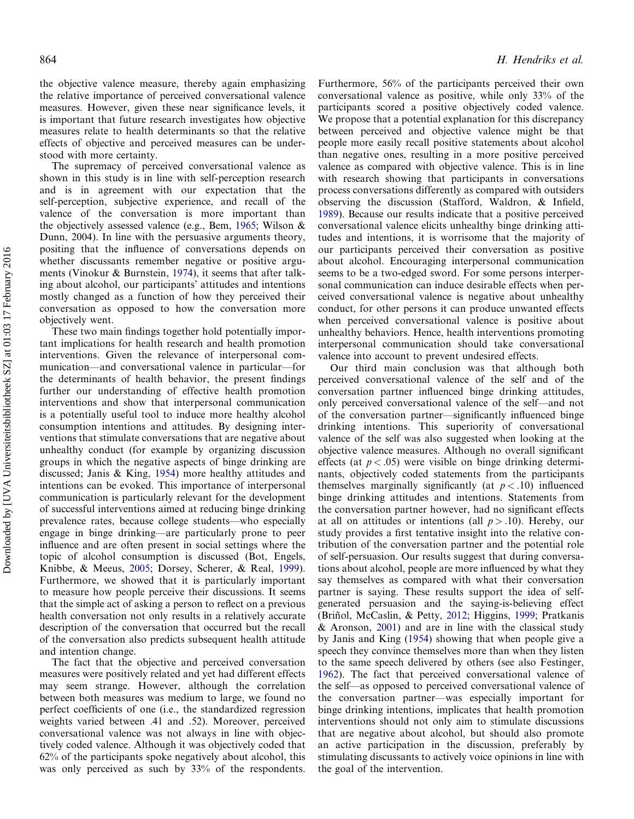the objective valence measure, thereby again emphasizing the relative importance of perceived conversational valence measures. However, given these near significance levels, it is important that future research investigates how objective measures relate to health determinants so that the relative effects of objective and perceived measures can be understood with more certainty.

The supremacy of perceived conversational valence as shown in this study is in line with self-perception research and is in agreement with our expectation that the self-perception, subjective experience, and recall of the valence of the conversation is more important than the objectively assessed valence (e.g., Bem, [1965](#page-7-0); Wilson & Dunn, 2004). In line with the persuasive arguments theory, positing that the influence of conversations depends on whether discussants remember negative or positive arguments (Vinokur & Burnstein, [1974](#page-8-0)), it seems that after talking about alcohol, our participants' attitudes and intentions mostly changed as a function of how they perceived their conversation as opposed to how the conversation more objectively went.

These two main findings together hold potentially important implications for health research and health promotion interventions. Given the relevance of interpersonal communication—and conversational valence in particular—for the determinants of health behavior, the present findings further our understanding of effective health promotion interventions and show that interpersonal communication is a potentially useful tool to induce more healthy alcohol consumption intentions and attitudes. By designing interventions that stimulate conversations that are negative about unhealthy conduct (for example by organizing discussion groups in which the negative aspects of binge drinking are discussed; Janis & King, [1954\)](#page-8-0) more healthy attitudes and intentions can be evoked. This importance of interpersonal communication is particularly relevant for the development of successful interventions aimed at reducing binge drinking prevalence rates, because college students—who especially engage in binge drinking—are particularly prone to peer influence and are often present in social settings where the topic of alcohol consumption is discussed (Bot, Engels, Knibbe, & Meeus, [2005](#page-7-0); Dorsey, Scherer, & Real, [1999](#page-8-0)). Furthermore, we showed that it is particularly important to measure how people perceive their discussions. It seems that the simple act of asking a person to reflect on a previous health conversation not only results in a relatively accurate description of the conversation that occurred but the recall of the conversation also predicts subsequent health attitude and intention change.

The fact that the objective and perceived conversation measures were positively related and yet had different effects may seem strange. However, although the correlation between both measures was medium to large, we found no perfect coefficients of one (i.e., the standardized regression weights varied between .41 and .52). Moreover, perceived conversational valence was not always in line with objectively coded valence. Although it was objectively coded that 62% of the participants spoke negatively about alcohol, this was only perceived as such by 33% of the respondents.

Furthermore, 56% of the participants perceived their own conversational valence as positive, while only 33% of the participants scored a positive objectively coded valence. We propose that a potential explanation for this discrepancy between perceived and objective valence might be that people more easily recall positive statements about alcohol than negative ones, resulting in a more positive perceived valence as compared with objective valence. This is in line with research showing that participants in conversations process conversations differently as compared with outsiders observing the discussion (Stafford, Waldron, & Infield, [1989](#page-8-0)). Because our results indicate that a positive perceived conversational valence elicits unhealthy binge drinking attitudes and intentions, it is worrisome that the majority of our participants perceived their conversation as positive about alcohol. Encouraging interpersonal communication seems to be a two-edged sword. For some persons interpersonal communication can induce desirable effects when perceived conversational valence is negative about unhealthy conduct, for other persons it can produce unwanted effects when perceived conversational valence is positive about unhealthy behaviors. Hence, health interventions promoting interpersonal communication should take conversational valence into account to prevent undesired effects.

Our third main conclusion was that although both perceived conversational valence of the self and of the conversation partner influenced binge drinking attitudes, only perceived conversational valence of the self—and not of the conversation partner—significantly influenced binge drinking intentions. This superiority of conversational valence of the self was also suggested when looking at the objective valence measures. Although no overall significant effects (at  $p < .05$ ) were visible on binge drinking determinants, objectively coded statements from the participants themselves marginally significantly (at  $p < .10$ ) influenced binge drinking attitudes and intentions. Statements from the conversation partner however, had no significant effects at all on attitudes or intentions (all  $p > .10$ ). Hereby, our study provides a first tentative insight into the relative contribution of the conversation partner and the potential role of self-persuasion. Our results suggest that during conversations about alcohol, people are more influenced by what they say themselves as compared with what their conversation partner is saying. These results support the idea of selfgenerated persuasion and the saying-is-believing effect (Briñol, McCaslin, & Petty, [2012](#page-7-0); Higgins, [1999;](#page-8-0) Pratkanis & Aronson, [2001\)](#page-8-0) and are in line with the classical study by Janis and King [\(1954](#page-8-0)) showing that when people give a speech they convince themselves more than when they listen to the same speech delivered by others (see also Festinger, [1962](#page-8-0)). The fact that perceived conversational valence of the self—as opposed to perceived conversational valence of the conversation partner—was especially important for binge drinking intentions, implicates that health promotion interventions should not only aim to stimulate discussions that are negative about alcohol, but should also promote an active participation in the discussion, preferably by stimulating discussants to actively voice opinions in line with the goal of the intervention.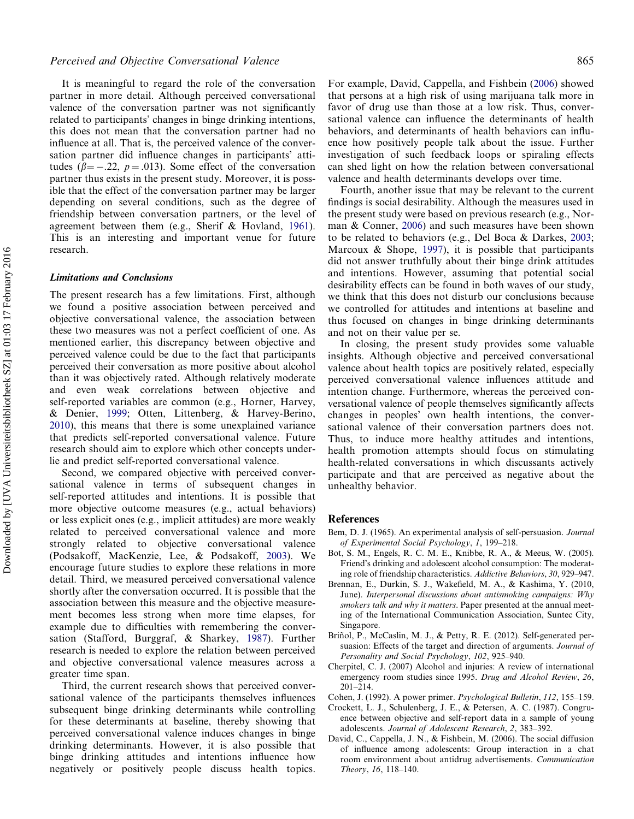<span id="page-7-0"></span>It is meaningful to regard the role of the conversation partner in more detail. Although perceived conversational valence of the conversation partner was not significantly related to participants' changes in binge drinking intentions, this does not mean that the conversation partner had no influence at all. That is, the perceived valence of the conversation partner did influence changes in participants' attitudes ( $\beta = -.22$ ,  $p = .013$ ). Some effect of the conversation partner thus exists in the present study. Moreover, it is possible that the effect of the conversation partner may be larger depending on several conditions, such as the degree of friendship between conversation partners, or the level of agreement between them (e.g., Sherif & Hovland, [1961\)](#page-8-0). This is an interesting and important venue for future research.

## Limitations and Conclusions

The present research has a few limitations. First, although we found a positive association between perceived and objective conversational valence, the association between these two measures was not a perfect coefficient of one. As mentioned earlier, this discrepancy between objective and perceived valence could be due to the fact that participants perceived their conversation as more positive about alcohol than it was objectively rated. Although relatively moderate and even weak correlations between objective and self-reported variables are common (e.g., Horner, Harvey, & Denier, [1999;](#page-8-0) Otten, Littenberg, & Harvey-Berino, [2010\)](#page-8-0), this means that there is some unexplained variance that predicts self-reported conversational valence. Future research should aim to explore which other concepts underlie and predict self-reported conversational valence.

Second, we compared objective with perceived conversational valence in terms of subsequent changes in self-reported attitudes and intentions. It is possible that more objective outcome measures (e.g., actual behaviors) or less explicit ones (e.g., implicit attitudes) are more weakly related to perceived conversational valence and more strongly related to objective conversational valence (Podsakoff, MacKenzie, Lee, & Podsakoff, [2003](#page-8-0)). We encourage future studies to explore these relations in more detail. Third, we measured perceived conversational valence shortly after the conversation occurred. It is possible that the association between this measure and the objective measurement becomes less strong when more time elapses, for example due to difficulties with remembering the conversation (Stafford, Burggraf, & Sharkey, [1987](#page-8-0)). Further research is needed to explore the relation between perceived and objective conversational valence measures across a greater time span.

Third, the current research shows that perceived conversational valence of the participants themselves influences subsequent binge drinking determinants while controlling for these determinants at baseline, thereby showing that perceived conversational valence induces changes in binge drinking determinants. However, it is also possible that binge drinking attitudes and intentions influence how negatively or positively people discuss health topics.

For example, David, Cappella, and Fishbein (2006) showed that persons at a high risk of using marijuana talk more in favor of drug use than those at a low risk. Thus, conversational valence can influence the determinants of health behaviors, and determinants of health behaviors can influence how positively people talk about the issue. Further investigation of such feedback loops or spiraling effects can shed light on how the relation between conversational valence and health determinants develops over time.

Fourth, another issue that may be relevant to the current findings is social desirability. Although the measures used in the present study were based on previous research (e.g., Norman & Conner, [2006](#page-8-0)) and such measures have been shown to be related to behaviors (e.g., Del Boca & Darkes, 2003; Marcoux & Shope, [1997\)](#page-8-0), it is possible that participants did not answer truthfully about their binge drink attitudes and intentions. However, assuming that potential social desirability effects can be found in both waves of our study, we think that this does not disturb our conclusions because we controlled for attitudes and intentions at baseline and thus focused on changes in binge drinking determinants and not on their value per se.

In closing, the present study provides some valuable insights. Although objective and perceived conversational valence about health topics are positively related, especially perceived conversational valence influences attitude and intention change. Furthermore, whereas the perceived conversational valence of people themselves significantly affects changes in peoples' own health intentions, the conversational valence of their conversation partners does not. Thus, to induce more healthy attitudes and intentions, health promotion attempts should focus on stimulating health-related conversations in which discussants actively participate and that are perceived as negative about the unhealthy behavior.

#### **References**

- Bem, D. J. (1965). An experimental analysis of self-persuasion. Journal of Experimental Social Psychology, 1, 199–218.
- Bot, S. M., Engels, R. C. M. E., Knibbe, R. A., & Meeus, W. (2005). Friend's drinking and adolescent alcohol consumption: The moderating role of friendship characteristics. Addictive Behaviors, 30, 929–947.
- Brennan, E., Durkin, S. J., Wakefield, M. A., & Kashima, Y. (2010, June). Interpersonal discussions about antismoking campaigns: Why smokers talk and why it matters. Paper presented at the annual meeting of the International Communication Association, Suntec City, Singapore.
- Briñol, P., McCaslin, M. J., & Petty, R. E. (2012). Self-generated persuasion: Effects of the target and direction of arguments. Journal of Personality and Social Psychology, 102, 925–940.
- Cherpitel, C. J. (2007) Alcohol and injuries: A review of international emergency room studies since 1995. Drug and Alcohol Review, 26, 201–214.
- Cohen, J. (1992). A power primer. Psychological Bulletin, 112, 155–159.
- Crockett, L. J., Schulenberg, J. E., & Petersen, A. C. (1987). Congruence between objective and self-report data in a sample of young adolescents. Journal of Adolescent Research, 2, 383–392.
- David, C., Cappella, J. N., & Fishbein, M. (2006). The social diffusion of influence among adolescents: Group interaction in a chat room environment about antidrug advertisements. Communication Theory, 16, 118–140.